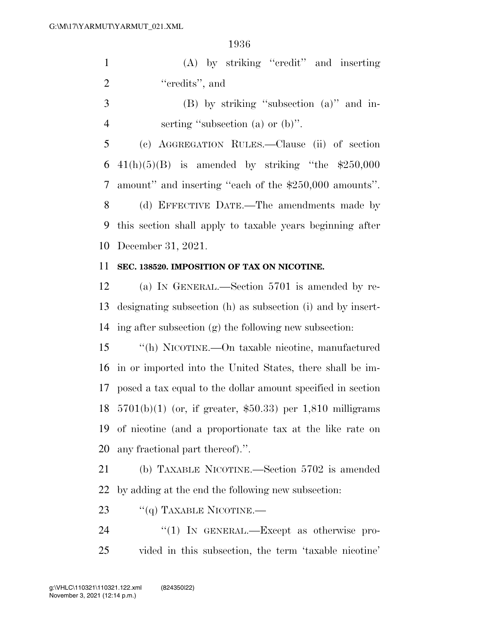(A) by striking ''credit'' and inserting 2 "credits", and

 (B) by striking ''subsection (a)'' and in-4 serting "subsection (a) or (b)".

 (c) AGGREGATION RULES.—Clause (ii) of section 6 41(h)(5)(B) is amended by striking "the  $$250,000$  amount'' and inserting ''each of the \$250,000 amounts''. (d) EFFECTIVE DATE.—The amendments made by this section shall apply to taxable years beginning after

December 31, 2021.

## **SEC. 138520. IMPOSITION OF TAX ON NICOTINE.**

 (a) IN GENERAL.—Section 5701 is amended by re- designating subsection (h) as subsection (i) and by insert-ing after subsection (g) the following new subsection:

 ''(h) NICOTINE.—On taxable nicotine, manufactured in or imported into the United States, there shall be im- posed a tax equal to the dollar amount specified in section 5701(b)(1) (or, if greater, \$50.33) per 1,810 milligrams of nicotine (and a proportionate tax at the like rate on any fractional part thereof).''.

 (b) TAXABLE NICOTINE.—Section 5702 is amended by adding at the end the following new subsection:

23  $"$ (q) TAXABLE NICOTINE.—

24 "(1) IN GENERAL.—Except as otherwise pro-vided in this subsection, the term 'taxable nicotine'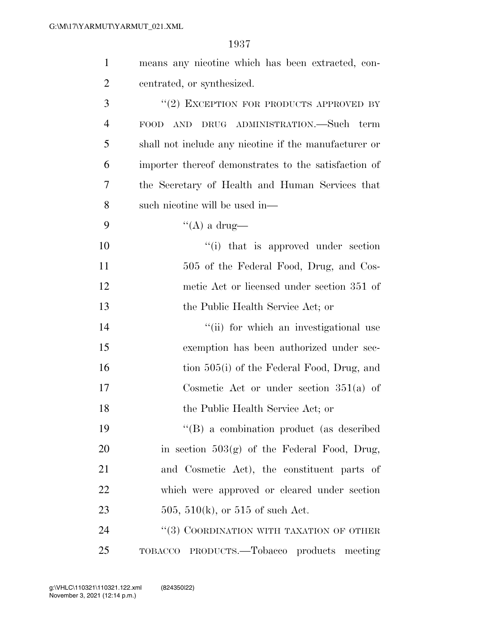| $\mathbf{1}$   | means any nicotine which has been extracted, con-                     |
|----------------|-----------------------------------------------------------------------|
| 2              | centrated, or synthesized.                                            |
| 3              | "(2) EXCEPTION FOR PRODUCTS APPROVED BY                               |
| $\overline{4}$ | DRUG ADMINISTRATION.—Such term<br>$\operatorname{AND}$<br><b>FOOD</b> |
| 5              | shall not include any nicotine if the manufacturer or                 |
| 6              | importer thereof demonstrates to the satisfaction of                  |
| 7              | the Secretary of Health and Human Services that                       |
| 8              | such nicotine will be used in-                                        |
| 9              | "(A) a drug—                                                          |
| 10             | "(i) that is approved under section                                   |
| 11             | 505 of the Federal Food, Drug, and Cos-                               |
| 12             | metic Act or licensed under section 351 of                            |
| 13             | the Public Health Service Act; or                                     |
| 14             | "(ii) for which an investigational use                                |
| 15             | exemption has been authorized under sec-                              |
| 16             | tion 505(i) of the Federal Food, Drug, and                            |
| 17             | Cosmetic Act or under section $351(a)$ of                             |
| 18             | the Public Health Service Act; or                                     |
| 19             | $\lq\lq (B)$ a combination product (as described                      |
| 20             | in section $503(g)$ of the Federal Food, Drug,                        |
| 21             | and Cosmetic Act), the constituent parts of                           |
| 22             | which were approved or cleared under section                          |
| 23             | 505, 510(k), or 515 of such Act.                                      |
| 24             | "(3) COORDINATION WITH TAXATION OF OTHER                              |
| 25             | TOBACCO PRODUCTS.—Tobacco products meeting                            |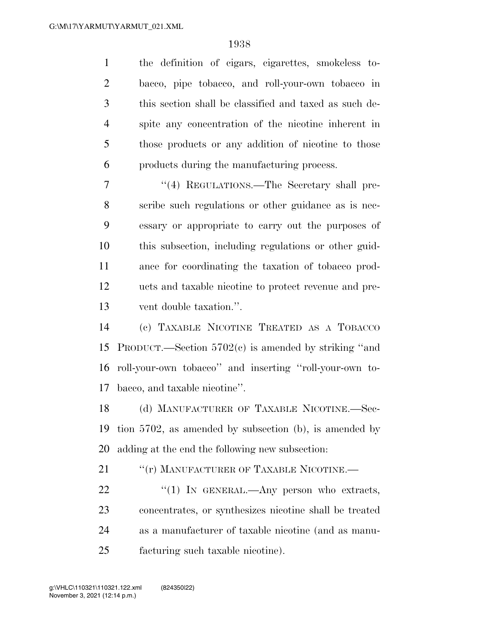the definition of cigars, cigarettes, smokeless to- bacco, pipe tobacco, and roll-your-own tobacco in this section shall be classified and taxed as such de- spite any concentration of the nicotine inherent in those products or any addition of nicotine to those products during the manufacturing process.

7 "(4) REGULATIONS.—The Secretary shall pre- scribe such regulations or other guidance as is nec- essary or appropriate to carry out the purposes of this subsection, including regulations or other guid- ance for coordinating the taxation of tobacco prod- ucts and taxable nicotine to protect revenue and pre-vent double taxation.''.

 (c) TAXABLE NICOTINE TREATED AS A TOBACCO PRODUCT.—Section 5702(c) is amended by striking ''and roll-your-own tobacco'' and inserting ''roll-your-own to-bacco, and taxable nicotine''.

 (d) MANUFACTURER OF TAXABLE NICOTINE.—Sec- tion 5702, as amended by subsection (b), is amended by adding at the end the following new subsection:

21 ""(r) MANUFACTURER OF TAXABLE NICOTINE.

 $\frac{4}{1}$  IN GENERAL.—Any person who extracts, concentrates, or synthesizes nicotine shall be treated as a manufacturer of taxable nicotine (and as manu-facturing such taxable nicotine).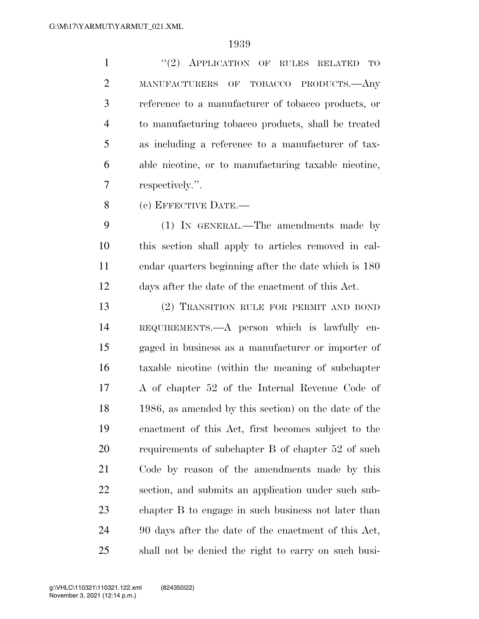1 "(2) APPLICATION OF RULES RELATED TO MANUFACTURERS OF TOBACCO PRODUCTS.—Any reference to a manufacturer of tobacco products, or to manufacturing tobacco products, shall be treated as including a reference to a manufacturer of tax- able nicotine, or to manufacturing taxable nicotine, respectively.''.

(e) EFFECTIVE DATE.—

 (1) IN GENERAL.—The amendments made by this section shall apply to articles removed in cal- endar quarters beginning after the date which is 180 days after the date of the enactment of this Act.

 (2) TRANSITION RULE FOR PERMIT AND BOND REQUIREMENTS.—A person which is lawfully en- gaged in business as a manufacturer or importer of taxable nicotine (within the meaning of subchapter A of chapter 52 of the Internal Revenue Code of 1986, as amended by this section) on the date of the enactment of this Act, first becomes subject to the requirements of subchapter B of chapter 52 of such Code by reason of the amendments made by this section, and submits an application under such sub- chapter B to engage in such business not later than 90 days after the date of the enactment of this Act, shall not be denied the right to carry on such busi-